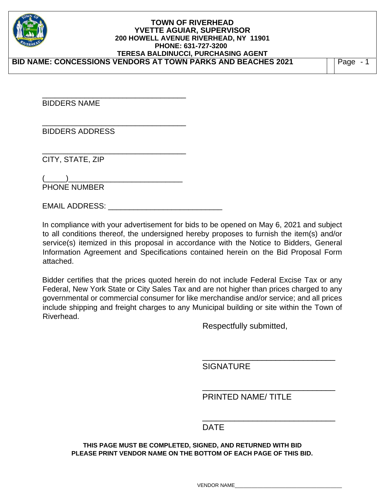

BIDDERS NAME

BIDDERS ADDRESS

\_\_\_\_\_\_\_\_\_\_\_\_\_\_\_\_\_\_\_\_\_\_\_\_\_\_\_\_\_\_\_\_\_\_

\_\_\_\_\_\_\_\_\_\_\_\_\_\_\_\_\_\_\_\_\_\_\_\_\_\_\_\_\_\_\_\_\_\_

\_\_\_\_\_\_\_\_\_\_\_\_\_\_\_\_\_\_\_\_\_\_\_\_\_\_\_\_\_\_\_\_\_\_

CITY, STATE, ZIP

 $($  ) PHONE NUMBER

EMAIL ADDRESS: \_\_\_\_\_\_\_\_\_\_\_\_\_\_\_\_\_\_\_\_\_\_\_\_\_\_\_

In compliance with your advertisement for bids to be opened on May 6, 2021 and subject to all conditions thereof, the undersigned hereby proposes to furnish the item(s) and/or service(s) itemized in this proposal in accordance with the Notice to Bidders, General Information Agreement and Specifications contained herein on the Bid Proposal Form attached.

Bidder certifies that the prices quoted herein do not include Federal Excise Tax or any Federal, New York State or City Sales Tax and are not higher than prices charged to any governmental or commercial consumer for like merchandise and/or service; and all prices include shipping and freight charges to any Municipal building or site within the Town of Riverhead.

Respectfully submitted,

**SIGNATURE** 

PRINTED NAME/ TITLE

\_\_\_\_\_\_\_\_\_\_\_\_\_\_\_\_\_\_\_\_\_\_\_\_\_\_\_\_\_

\_\_\_\_\_\_\_\_\_\_\_\_\_\_\_\_\_\_\_\_\_\_\_\_\_\_\_\_\_

# **DATE** DESCRIPTION OF THE STATE OF THE STATE OF THE STATE OF THE STATE OF THE STATE OF THE STATE OF THE STATE OF THE STATE OF THE STATE OF THE STATE OF THE STATE OF THE STATE OF THE STATE OF THE STATE OF THE STATE OF THE S

**THIS PAGE MUST BE COMPLETED, SIGNED, AND RETURNED WITH BID PLEASE PRINT VENDOR NAME ON THE BOTTOM OF EACH PAGE OF THIS BID.** 

 $\overline{\phantom{a}}$  , and the contract of the contract of the contract of the contract of the contract of the contract of the contract of the contract of the contract of the contract of the contract of the contract of the contrac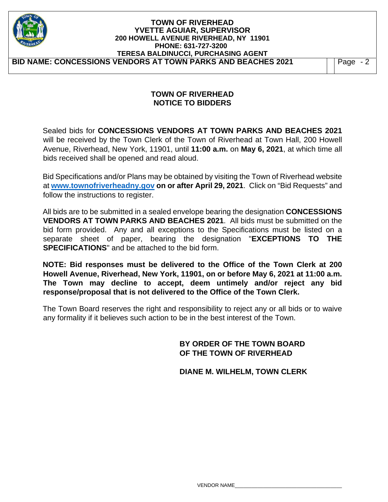| <b>TOWN OF RIVERHEAD</b><br><b>YVETTE AGUIAR, SUPERVISOR</b><br>200 HOWELL AVENUE RIVERHEAD, NY 11901<br>PHONE: 631-727-3200<br><b>TERESA BALDINUCCI, PURCHASING AGENT</b> |           |
|----------------------------------------------------------------------------------------------------------------------------------------------------------------------------|-----------|
| BID NAME: CONCESSIONS VENDORS AT TOWN PARKS AND BEACHES 2021                                                                                                               | Page $-2$ |
|                                                                                                                                                                            |           |

# **TOWN OF RIVERHEAD NOTICE TO BIDDERS**

Sealed bids for **CONCESSIONS VENDORS AT TOWN PARKS AND BEACHES 2021** will be received by the Town Clerk of the Town of Riverhead at Town Hall, 200 Howell Avenue, Riverhead, New York, 11901, until **11:00 a.m.** on **May 6, 2021**, at which time all bids received shall be opened and read aloud.

Bid Specifications and/or Plans may be obtained by visiting the Town of Riverhead website at **www.townofriverheadny.gov on or after April 29, 2021**. Click on "Bid Requests" and follow the instructions to register.

All bids are to be submitted in a sealed envelope bearing the designation **CONCESSIONS VENDORS AT TOWN PARKS AND BEACHES 2021**. All bids must be submitted on the bid form provided. Any and all exceptions to the Specifications must be listed on a separate sheet of paper, bearing the designation "**EXCEPTIONS TO THE SPECIFICATIONS**" and be attached to the bid form.

**NOTE: Bid responses must be delivered to the Office of the Town Clerk at 200 Howell Avenue, Riverhead, New York, 11901, on or before May 6, 2021 at 11:00 a.m. The Town may decline to accept, deem untimely and/or reject any bid response/proposal that is not delivered to the Office of the Town Clerk.**

The Town Board reserves the right and responsibility to reject any or all bids or to waive any formality if it believes such action to be in the best interest of the Town.

# **BY ORDER OF THE TOWN BOARD OF THE TOWN OF RIVERHEAD**

 **DIANE M. WILHELM, TOWN CLERK**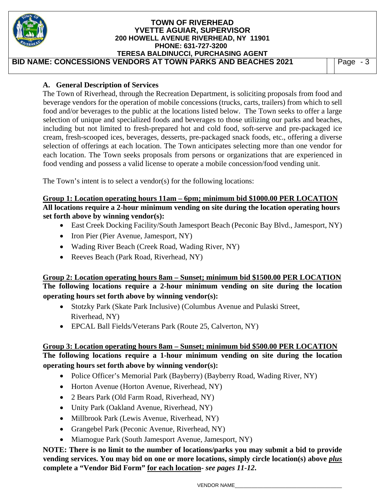| <b>TOWN OF RIVERHEAD</b><br><b>YVETTE AGUIAR, SUPERVISOR</b><br>200 HOWELL AVENUE RIVERHEAD, NY 11901<br>PHONE: 631-727-3200<br><b>TERESA BALDINUCCI, PURCHASING AGENT</b> |           |
|----------------------------------------------------------------------------------------------------------------------------------------------------------------------------|-----------|
| BID NAME: CONCESSIONS VENDORS AT TOWN PARKS AND BEACHES 2021                                                                                                               | Page $-3$ |

### **A. General Description of Services**

The Town of Riverhead, through the Recreation Department, is soliciting proposals from food and beverage vendors for the operation of mobile concessions (trucks, carts, trailers) from which to sell food and/or beverages to the public at the locations listed below. The Town seeks to offer a large selection of unique and specialized foods and beverages to those utilizing our parks and beaches, including but not limited to fresh-prepared hot and cold food, soft-serve and pre-packaged ice cream, fresh-scooped ices, beverages, desserts, pre-packaged snack foods, etc., offering a diverse selection of offerings at each location. The Town anticipates selecting more than one vendor for each location. The Town seeks proposals from persons or organizations that are experienced in food vending and possess a valid license to operate a mobile concession/food vending unit.

The Town's intent is to select a vendor(s) for the following locations:

**Group 1: Location operating hours 11am – 6pm; minimum bid \$1000.00 PER LOCATION All locations require a 2-hour minimum vending on site during the location operating hours set forth above by winning vendor(s):** 

- East Creek Docking Facility/South Jamesport Beach (Peconic Bay Blvd., Jamesport, NY)
- Iron Pier (Pier Avenue, Jamesport, NY)
- Wading River Beach (Creek Road, Wading River, NY)
- Reeves Beach (Park Road, Riverhead, NY)

**Group 2: Location operating hours 8am – Sunset; minimum bid \$1500.00 PER LOCATION The following locations require a 2-hour minimum vending on site during the location operating hours set forth above by winning vendor(s):**

- Stotzky Park (Skate Park Inclusive) (Columbus Avenue and Pulaski Street, Riverhead, NY)
- EPCAL Ball Fields/Veterans Park (Route 25, Calverton, NY)

# **Group 3: Location operating hours 8am – Sunset; minimum bid \$500.00 PER LOCATION The following locations require a 1-hour minimum vending on site during the location operating hours set forth above by winning vendor(s):**

- Police Officer's Memorial Park (Bayberry) (Bayberry Road, Wading River, NY)
- Horton Avenue (Horton Avenue, Riverhead, NY)
- 2 Bears Park (Old Farm Road, Riverhead, NY)
- Unity Park (Oakland Avenue, Riverhead, NY)
- Millbrook Park (Lewis Avenue, Riverhead, NY)
- Grangebel Park (Peconic Avenue, Riverhead, NY)
- Miamogue Park (South Jamesport Avenue, Jamesport, NY)

**NOTE: There is no limit to the number of locations/parks you may submit a bid to provide vending services. You may bid on one or more locations, simply circle location(s) above** *plus*  **complete a "Vendor Bid Form" for each location-** *see pages 11-12***.**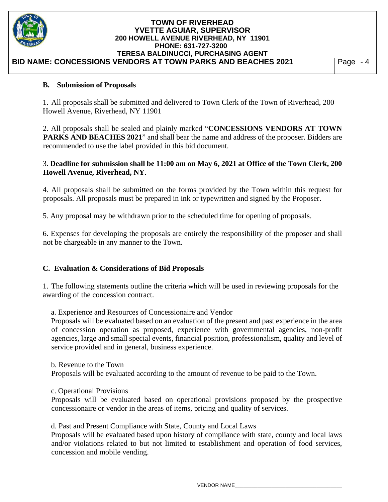

### **B. Submission of Proposals**

1. All proposals shall be submitted and delivered to Town Clerk of the Town of Riverhead, 200 Howell Avenue, Riverhead, NY 11901

2. All proposals shall be sealed and plainly marked "**CONCESSIONS VENDORS AT TOWN PARKS AND BEACHES 2021**" and shall bear the name and address of the proposer. Bidders are recommended to use the label provided in this bid document.

### 3. **Deadline for submission shall be 11:00 am on May 6, 2021 at Office of the Town Clerk, 200 Howell Avenue, Riverhead, NY**.

4. All proposals shall be submitted on the forms provided by the Town within this request for proposals. All proposals must be prepared in ink or typewritten and signed by the Proposer.

5. Any proposal may be withdrawn prior to the scheduled time for opening of proposals.

6. Expenses for developing the proposals are entirely the responsibility of the proposer and shall not be chargeable in any manner to the Town.

#### **C. Evaluation & Considerations of Bid Proposals**

1. The following statements outline the criteria which will be used in reviewing proposals for the awarding of the concession contract.

a. Experience and Resources of Concessionaire and Vendor

Proposals will be evaluated based on an evaluation of the present and past experience in the area of concession operation as proposed, experience with governmental agencies, non-profit agencies, large and small special events, financial position, professionalism, quality and level of service provided and in general, business experience.

b. Revenue to the Town Proposals will be evaluated according to the amount of revenue to be paid to the Town.

c. Operational Provisions

Proposals will be evaluated based on operational provisions proposed by the prospective concessionaire or vendor in the areas of items, pricing and quality of services.

d. Past and Present Compliance with State, County and Local Laws

Proposals will be evaluated based upon history of compliance with state, county and local laws and/or violations related to but not limited to establishment and operation of food services, concession and mobile vending.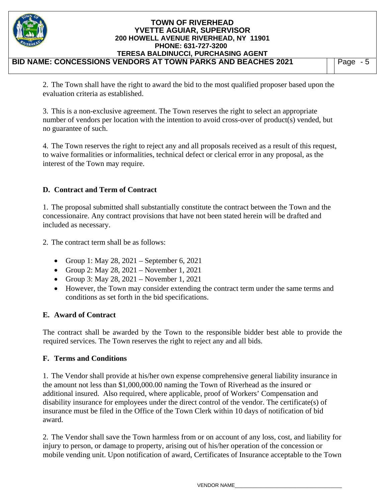| <b>TOWN OF RIVERHEAD</b><br><b>YVETTE AGUIAR, SUPERVISOR</b><br>200 HOWELL AVENUE RIVERHEAD, NY 11901<br>PHONE: 631-727-3200<br><b>TERESA BALDINUCCI, PURCHASING AGENT</b> |      |
|----------------------------------------------------------------------------------------------------------------------------------------------------------------------------|------|
| BID NAME: CONCESSIONS VENDORS AT TOWN PARKS AND BEACHES 2021                                                                                                               | Page |

2. The Town shall have the right to award the bid to the most qualified proposer based upon the evaluation criteria as established.

3. This is a non-exclusive agreement. The Town reserves the right to select an appropriate number of vendors per location with the intention to avoid cross-over of product(s) vended, but no guarantee of such.

4. The Town reserves the right to reject any and all proposals received as a result of this request, to waive formalities or informalities, technical defect or clerical error in any proposal, as the interest of the Town may require.

# **D. Contract and Term of Contract**

1. The proposal submitted shall substantially constitute the contract between the Town and the concessionaire. Any contract provisions that have not been stated herein will be drafted and included as necessary.

- 2. The contract term shall be as follows:
	- Group 1: May 28, 2021 September 6, 2021
	- Group 2: May 28,  $2021 -$  November 1, 2021
	- Group 3: May 28,  $2021 -$  November 1, 2021
	- However, the Town may consider extending the contract term under the same terms and conditions as set forth in the bid specifications.

# **E. Award of Contract**

The contract shall be awarded by the Town to the responsible bidder best able to provide the required services. The Town reserves the right to reject any and all bids.

# **F. Terms and Conditions**

1. The Vendor shall provide at his/her own expense comprehensive general liability insurance in the amount not less than \$1,000,000.00 naming the Town of Riverhead as the insured or additional insured. Also required, where applicable, proof of Workers' Compensation and disability insurance for employees under the direct control of the vendor. The certificate(s) of insurance must be filed in the Office of the Town Clerk within 10 days of notification of bid award.

2. The Vendor shall save the Town harmless from or on account of any loss, cost, and liability for injury to person, or damage to property, arising out of his/her operation of the concession or mobile vending unit. Upon notification of award, Certificates of Insurance acceptable to the Town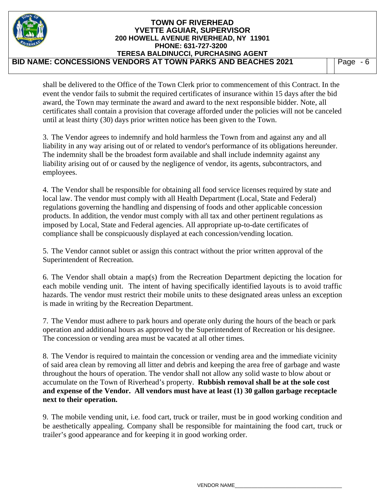

shall be delivered to the Office of the Town Clerk prior to commencement of this Contract. In the event the vendor fails to submit the required certificates of insurance within 15 days after the bid award, the Town may terminate the award and award to the next responsible bidder. Note, all certificates shall contain a provision that coverage afforded under the policies will not be canceled until at least thirty (30) days prior written notice has been given to the Town.

3. The Vendor agrees to indemnify and hold harmless the Town from and against any and all liability in any way arising out of or related to vendor's performance of its obligations hereunder. The indemnity shall be the broadest form available and shall include indemnity against any liability arising out of or caused by the negligence of vendor, its agents, subcontractors, and employees.

4. The Vendor shall be responsible for obtaining all food service licenses required by state and local law. The vendor must comply with all Health Department (Local, State and Federal) regulations governing the handling and dispensing of foods and other applicable concession products. In addition, the vendor must comply with all tax and other pertinent regulations as imposed by Local, State and Federal agencies. All appropriate up-to-date certificates of compliance shall be conspicuously displayed at each concession/vending location.

5. The Vendor cannot sublet or assign this contract without the prior written approval of the Superintendent of Recreation.

6. The Vendor shall obtain a map(s) from the Recreation Department depicting the location for each mobile vending unit. The intent of having specifically identified layouts is to avoid traffic hazards. The vendor must restrict their mobile units to these designated areas unless an exception is made in writing by the Recreation Department.

7. The Vendor must adhere to park hours and operate only during the hours of the beach or park operation and additional hours as approved by the Superintendent of Recreation or his designee. The concession or vending area must be vacated at all other times.

8. The Vendor is required to maintain the concession or vending area and the immediate vicinity of said area clean by removing all litter and debris and keeping the area free of garbage and waste throughout the hours of operation. The vendor shall not allow any solid waste to blow about or accumulate on the Town of Riverhead's property. **Rubbish removal shall be at the sole cost and expense of the Vendor. All vendors must have at least (1) 30 gallon garbage receptacle next to their operation.**

9. The mobile vending unit, i.e. food cart, truck or trailer, must be in good working condition and be aesthetically appealing. Company shall be responsible for maintaining the food cart, truck or trailer's good appearance and for keeping it in good working order.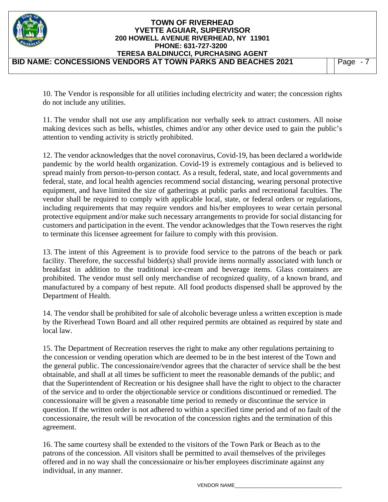| <b>TOWN OF RIVERHEAD</b><br><b>YVETTE AGUIAR, SUPERVISOR</b><br>200 HOWELL AVENUE RIVERHEAD, NY 11901<br>PHONE: 631-727-3200<br>TERESA BALDINUCCI, PURCHASING AGENT |          |
|---------------------------------------------------------------------------------------------------------------------------------------------------------------------|----------|
| BID NAME: CONCESSIONS VENDORS AT TOWN PARKS AND BEACHES 2021                                                                                                        | Page - 7 |

10. The Vendor is responsible for all utilities including electricity and water; the concession rights do not include any utilities.

11. The vendor shall not use any amplification nor verbally seek to attract customers. All noise making devices such as bells, whistles, chimes and/or any other device used to gain the public's attention to vending activity is strictly prohibited.

12. The vendor acknowledges that the novel coronavirus, Covid-19, has been declared a worldwide pandemic by the world health organization. Covid-19 is extremely contagious and is believed to spread mainly from person-to-person contact. As a result, federal, state, and local governments and federal, state, and local health agencies recommend social distancing, wearing personal protective equipment, and have limited the size of gatherings at public parks and recreational faculties. The vendor shall be required to comply with applicable local, state, or federal orders or regulations, including requirements that may require vendors and his/her employees to wear certain personal protective equipment and/or make such necessary arrangements to provide for social distancing for customers and participation in the event. The vendor acknowledges that the Town reserves the right to terminate this licensee agreement for failure to comply with this provision.

13. The intent of this Agreement is to provide food service to the patrons of the beach or park facility. Therefore, the successful bidder(s) shall provide items normally associated with lunch or breakfast in addition to the traditional ice-cream and beverage items. Glass containers are prohibited. The vendor must sell only merchandise of recognized quality, of a known brand, and manufactured by a company of best repute. All food products dispensed shall be approved by the Department of Health.

14. The vendor shall be prohibited for sale of alcoholic beverage unless a written exception is made by the Riverhead Town Board and all other required permits are obtained as required by state and local law.

15. The Department of Recreation reserves the right to make any other regulations pertaining to the concession or vending operation which are deemed to be in the best interest of the Town and the general public. The concessionaire/vendor agrees that the character of service shall be the best obtainable, and shall at all times be sufficient to meet the reasonable demands of the public; and that the Superintendent of Recreation or his designee shall have the right to object to the character of the service and to order the objectionable service or conditions discontinued or remedied. The concessionaire will be given a reasonable time period to remedy or discontinue the service in question. If the written order is not adhered to within a specified time period and of no fault of the concessionaire, the result will be revocation of the concession rights and the termination of this agreement.

16. The same courtesy shall be extended to the visitors of the Town Park or Beach as to the patrons of the concession. All visitors shall be permitted to avail themselves of the privileges offered and in no way shall the concessionaire or his/her employees discriminate against any individual, in any manner.

VENDOR NAME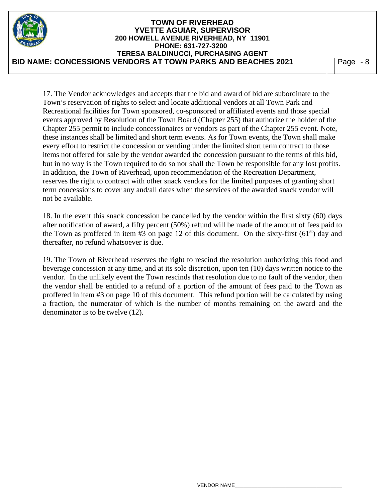|                                                              | <b>TOWN OF RIVERHEAD</b><br><b>YVETTE AGUIAR, SUPERVISOR</b><br>200 HOWELL AVENUE RIVERHEAD, NY 11901<br>PHONE: 631-727-3200<br>TERESA BALDINUCCI, PURCHASING AGENT |  |      |
|--------------------------------------------------------------|---------------------------------------------------------------------------------------------------------------------------------------------------------------------|--|------|
| BID NAME: CONCESSIONS VENDORS AT TOWN PARKS AND BEACHES 2021 |                                                                                                                                                                     |  | Page |

17. The Vendor acknowledges and accepts that the bid and award of bid are subordinate to the Town's reservation of rights to select and locate additional vendors at all Town Park and Recreational facilities for Town sponsored, co-sponsored or affiliated events and those special events approved by Resolution of the Town Board (Chapter 255) that authorize the holder of the Chapter 255 permit to include concessionaires or vendors as part of the Chapter 255 event. Note, these instances shall be limited and short term events. As for Town events, the Town shall make every effort to restrict the concession or vending under the limited short term contract to those items not offered for sale by the vendor awarded the concession pursuant to the terms of this bid, but in no way is the Town required to do so nor shall the Town be responsible for any lost profits. In addition, the Town of Riverhead, upon recommendation of the Recreation Department, reserves the right to contract with other snack vendors for the limited purposes of granting short term concessions to cover any and/all dates when the services of the awarded snack vendor will not be available.

18. In the event this snack concession be cancelled by the vendor within the first sixty (60) days after notification of award, a fifty percent (50%) refund will be made of the amount of fees paid to the Town as proffered in item  $#3$  on page 12 of this document. On the sixty-first (61<sup>st</sup>) day and thereafter, no refund whatsoever is due.

19. The Town of Riverhead reserves the right to rescind the resolution authorizing this food and beverage concession at any time, and at its sole discretion, upon ten (10) days written notice to the vendor. In the unlikely event the Town rescinds that resolution due to no fault of the vendor, then the vendor shall be entitled to a refund of a portion of the amount of fees paid to the Town as proffered in item #3 on page 10 of this document. This refund portion will be calculated by using a fraction, the numerator of which is the number of months remaining on the award and the denominator is to be twelve (12).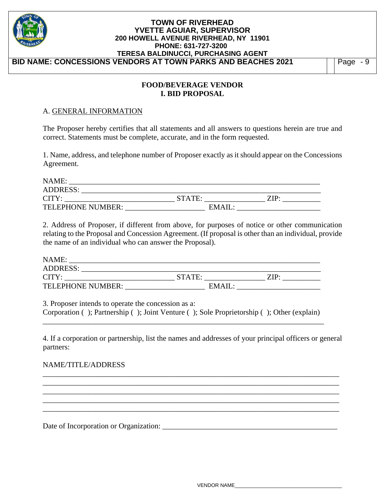

### **FOOD/BEVERAGE VENDOR I. BID PROPOSAL**

### A. GENERAL INFORMATION

The Proposer hereby certifies that all statements and all answers to questions herein are true and correct. Statements must be complete, accurate, and in the form requested.

1. Name, address, and telephone number of Proposer exactly as it should appear on the Concessions Agreement.

| NAME:             |        |        |  |
|-------------------|--------|--------|--|
| <b>ADDRESS:</b>   |        |        |  |
| CITY:             | STATE: | ZIP:   |  |
| TELEPHONE NUMBER: |        | EMAIL: |  |

2. Address of Proposer, if different from above, for purposes of notice or other communication relating to the Proposal and Concession Agreement. (If proposal is other than an individual, provide the name of an individual who can answer the Proposal).

| NAME:                    |        |      |
|--------------------------|--------|------|
| <b>ADDRESS:</b>          |        |      |
| CITY:                    | STATE: | 7TD. |
| <b>TELEPHONE NUMBER:</b> | EMAIL: |      |

3. Proposer intends to operate the concession as a:

Corporation ( ); Partnership ( ); Joint Venture ( ); Sole Proprietorship ( ); Other (explain) \_\_\_\_\_\_\_\_\_\_\_\_\_\_\_\_\_\_\_\_\_\_\_\_\_\_\_\_\_\_\_\_\_\_\_\_\_\_\_\_\_\_\_\_\_\_\_\_\_\_\_\_\_\_\_\_\_\_\_\_\_\_\_\_\_\_\_\_\_\_\_\_\_\_

4. If a corporation or partnership, list the names and addresses of your principal officers or general partners:

\_\_\_\_\_\_\_\_\_\_\_\_\_\_\_\_\_\_\_\_\_\_\_\_\_\_\_\_\_\_\_\_\_\_\_\_\_\_\_\_\_\_\_\_\_\_\_\_\_\_\_\_\_\_\_\_\_\_\_\_\_\_\_\_\_\_\_\_\_\_\_\_\_\_\_\_\_\_ \_\_\_\_\_\_\_\_\_\_\_\_\_\_\_\_\_\_\_\_\_\_\_\_\_\_\_\_\_\_\_\_\_\_\_\_\_\_\_\_\_\_\_\_\_\_\_\_\_\_\_\_\_\_\_\_\_\_\_\_\_\_\_\_\_\_\_\_\_\_\_\_\_\_\_\_\_\_ \_\_\_\_\_\_\_\_\_\_\_\_\_\_\_\_\_\_\_\_\_\_\_\_\_\_\_\_\_\_\_\_\_\_\_\_\_\_\_\_\_\_\_\_\_\_\_\_\_\_\_\_\_\_\_\_\_\_\_\_\_\_\_\_\_\_\_\_\_\_\_\_\_\_\_\_\_\_

\_\_\_\_\_\_\_\_\_\_\_\_\_\_\_\_\_\_\_\_\_\_\_\_\_\_\_\_\_\_\_\_\_\_\_\_\_\_\_\_\_\_\_\_\_\_\_\_\_\_\_\_\_\_\_\_\_\_\_\_\_\_\_\_\_\_\_\_\_\_\_\_\_\_\_\_\_\_

# NAME/TITLE/ADDRESS

Date of Incorporation or Organization: \_\_\_\_\_\_\_\_\_\_\_\_\_\_\_\_\_\_\_\_\_\_\_\_\_\_\_\_\_\_\_\_\_\_\_\_\_\_\_\_\_\_\_\_\_\_

 $\_$  ,  $\_$  ,  $\_$  ,  $\_$  ,  $\_$  ,  $\_$  ,  $\_$  ,  $\_$  ,  $\_$  ,  $\_$  ,  $\_$  ,  $\_$  ,  $\_$  ,  $\_$  ,  $\_$  ,  $\_$  ,  $\_$  ,  $\_$  ,  $\_$  ,  $\_$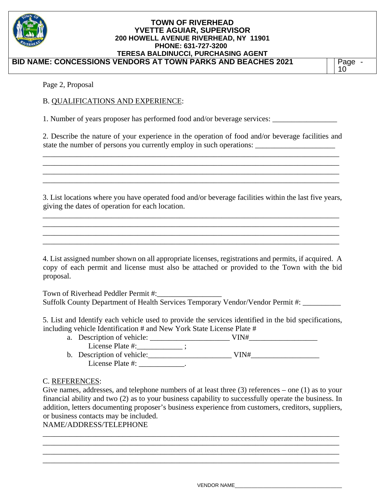

Page 2, Proposal

# B. QUALIFICATIONS AND EXPERIENCE:

1. Number of years proposer has performed food and/or beverage services:

2. Describe the nature of your experience in the operation of food and/or beverage facilities and state the number of persons you currently employ in such operations:

\_\_\_\_\_\_\_\_\_\_\_\_\_\_\_\_\_\_\_\_\_\_\_\_\_\_\_\_\_\_\_\_\_\_\_\_\_\_\_\_\_\_\_\_\_\_\_\_\_\_\_\_\_\_\_\_\_\_\_\_\_\_\_\_\_\_\_\_\_\_\_\_\_\_\_\_\_\_ \_\_\_\_\_\_\_\_\_\_\_\_\_\_\_\_\_\_\_\_\_\_\_\_\_\_\_\_\_\_\_\_\_\_\_\_\_\_\_\_\_\_\_\_\_\_\_\_\_\_\_\_\_\_\_\_\_\_\_\_\_\_\_\_\_\_\_\_\_\_\_\_\_\_\_\_\_\_ \_\_\_\_\_\_\_\_\_\_\_\_\_\_\_\_\_\_\_\_\_\_\_\_\_\_\_\_\_\_\_\_\_\_\_\_\_\_\_\_\_\_\_\_\_\_\_\_\_\_\_\_\_\_\_\_\_\_\_\_\_\_\_\_\_\_\_\_\_\_\_\_\_\_\_\_\_\_ \_\_\_\_\_\_\_\_\_\_\_\_\_\_\_\_\_\_\_\_\_\_\_\_\_\_\_\_\_\_\_\_\_\_\_\_\_\_\_\_\_\_\_\_\_\_\_\_\_\_\_\_\_\_\_\_\_\_\_\_\_\_\_\_\_\_\_\_\_\_\_\_\_\_\_\_\_\_

3. List locations where you have operated food and/or beverage facilities within the last five years, giving the dates of operation for each location.

\_\_\_\_\_\_\_\_\_\_\_\_\_\_\_\_\_\_\_\_\_\_\_\_\_\_\_\_\_\_\_\_\_\_\_\_\_\_\_\_\_\_\_\_\_\_\_\_\_\_\_\_\_\_\_\_\_\_\_\_\_\_\_\_\_\_\_\_\_\_\_\_\_\_\_\_\_\_ \_\_\_\_\_\_\_\_\_\_\_\_\_\_\_\_\_\_\_\_\_\_\_\_\_\_\_\_\_\_\_\_\_\_\_\_\_\_\_\_\_\_\_\_\_\_\_\_\_\_\_\_\_\_\_\_\_\_\_\_\_\_\_\_\_\_\_\_\_\_\_\_\_\_\_\_\_\_ \_\_\_\_\_\_\_\_\_\_\_\_\_\_\_\_\_\_\_\_\_\_\_\_\_\_\_\_\_\_\_\_\_\_\_\_\_\_\_\_\_\_\_\_\_\_\_\_\_\_\_\_\_\_\_\_\_\_\_\_\_\_\_\_\_\_\_\_\_\_\_\_\_\_\_\_\_\_ \_\_\_\_\_\_\_\_\_\_\_\_\_\_\_\_\_\_\_\_\_\_\_\_\_\_\_\_\_\_\_\_\_\_\_\_\_\_\_\_\_\_\_\_\_\_\_\_\_\_\_\_\_\_\_\_\_\_\_\_\_\_\_\_\_\_\_\_\_\_\_\_\_\_\_\_\_\_

4. List assigned number shown on all appropriate licenses, registrations and permits, if acquired. A copy of each permit and license must also be attached or provided to the Town with the bid proposal.

Town of Riverhead Peddler Permit #:\_\_\_\_\_\_\_\_\_\_\_\_\_\_\_\_\_ Suffolk County Department of Health Services Temporary Vendor/Vendor Permit #:

5. List and Identify each vehicle used to provide the services identified in the bid specifications, including vehicle Identification # and New York State License Plate #

| a. Description of vehicle: | VIN# |  |
|----------------------------|------|--|
| License Plate #:           |      |  |
| b. Description of vehicle: | VIN# |  |
| License Plate #:           |      |  |

# C. REFERENCES:

Give names, addresses, and telephone numbers of at least three (3) references – one (1) as to your financial ability and two (2) as to your business capability to successfully operate the business. In addition, letters documenting proposer's business experience from customers, creditors, suppliers, or business contacts may be included.

\_\_\_\_\_\_\_\_\_\_\_\_\_\_\_\_\_\_\_\_\_\_\_\_\_\_\_\_\_\_\_\_\_\_\_\_\_\_\_\_\_\_\_\_\_\_\_\_\_\_\_\_\_\_\_\_\_\_\_\_\_\_\_\_\_\_\_\_\_\_\_\_\_\_\_\_\_\_ \_\_\_\_\_\_\_\_\_\_\_\_\_\_\_\_\_\_\_\_\_\_\_\_\_\_\_\_\_\_\_\_\_\_\_\_\_\_\_\_\_\_\_\_\_\_\_\_\_\_\_\_\_\_\_\_\_\_\_\_\_\_\_\_\_\_\_\_\_\_\_\_\_\_\_\_\_\_ \_\_\_\_\_\_\_\_\_\_\_\_\_\_\_\_\_\_\_\_\_\_\_\_\_\_\_\_\_\_\_\_\_\_\_\_\_\_\_\_\_\_\_\_\_\_\_\_\_\_\_\_\_\_\_\_\_\_\_\_\_\_\_\_\_\_\_\_\_\_\_\_\_\_\_\_\_\_ \_\_\_\_\_\_\_\_\_\_\_\_\_\_\_\_\_\_\_\_\_\_\_\_\_\_\_\_\_\_\_\_\_\_\_\_\_\_\_\_\_\_\_\_\_\_\_\_\_\_\_\_\_\_\_\_\_\_\_\_\_\_\_\_\_\_\_\_\_\_\_\_\_\_\_\_\_\_

# NAME/ADDRESS/TELEPHONE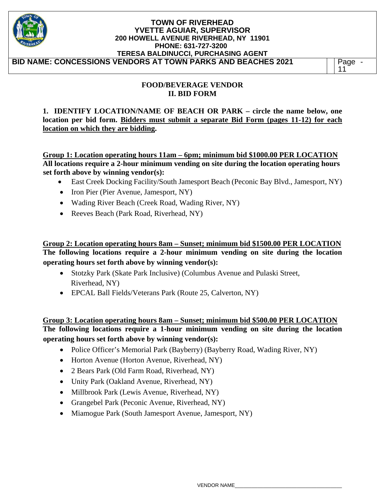| <b>TOWN OF RIVERHEAD</b><br><b>YVETTE AGUIAR, SUPERVISOR</b><br>200 HOWELL AVENUE RIVERHEAD, NY 11901<br>PHONE: 631-727-3200<br>TERESA BALDINUCCI, PURCHASING AGENT |                   |
|---------------------------------------------------------------------------------------------------------------------------------------------------------------------|-------------------|
| BID NAME: CONCESSIONS VENDORS AT TOWN PARKS AND BEACHES 2021                                                                                                        | <sup>o</sup> age∼ |

### **FOOD/BEVERAGE VENDOR II. BID FORM**

**1. IDENTIFY LOCATION/NAME OF BEACH OR PARK – circle the name below, one location per bid form. Bidders must submit a separate Bid Form (pages 11-12) for each location on which they are bidding.**

**Group 1: Location operating hours 11am – 6pm; minimum bid \$1000.00 PER LOCATION All locations require a 2-hour minimum vending on site during the location operating hours set forth above by winning vendor(s):** 

- East Creek Docking Facility/South Jamesport Beach (Peconic Bay Blvd., Jamesport, NY)
- Iron Pier (Pier Avenue, Jamesport, NY)
- Wading River Beach (Creek Road, Wading River, NY)
- Reeves Beach (Park Road, Riverhead, NY)

**Group 2: Location operating hours 8am – Sunset; minimum bid \$1500.00 PER LOCATION The following locations require a 2-hour minimum vending on site during the location operating hours set forth above by winning vendor(s):**

- Stotzky Park (Skate Park Inclusive) (Columbus Avenue and Pulaski Street, Riverhead, NY)
- EPCAL Ball Fields/Veterans Park (Route 25, Calverton, NY)

**Group 3: Location operating hours 8am – Sunset; minimum bid \$500.00 PER LOCATION The following locations require a 1-hour minimum vending on site during the location operating hours set forth above by winning vendor(s):** 

- Police Officer's Memorial Park (Bayberry) (Bayberry Road, Wading River, NY)
- Horton Avenue (Horton Avenue, Riverhead, NY)
- 2 Bears Park (Old Farm Road, Riverhead, NY)
- Unity Park (Oakland Avenue, Riverhead, NY)
- Millbrook Park (Lewis Avenue, Riverhead, NY)
- Grangebel Park (Peconic Avenue, Riverhead, NY)
- Miamogue Park (South Jamesport Avenue, Jamesport, NY)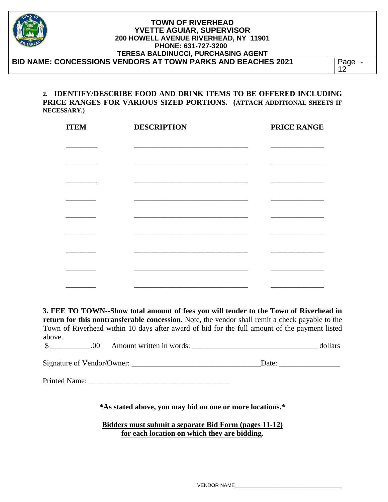| <b>TOWN OF RIVERHEAD</b><br><b>YVETTE AGUIAR, SUPERVISOR</b><br>200 HOWELL AVENUE RIVERHEAD, NY 11901<br>PHONE: 631-727-3200<br><b>TERESA BALDINUCCI, PURCHASING AGENT</b> |      |
|----------------------------------------------------------------------------------------------------------------------------------------------------------------------------|------|
| <b>BID NAME: CONCESSIONS VENDORS AT TOWN PARKS AND BEACHES 2021</b>                                                                                                        | Page |

#### **2. IDENTIFY/DESCRIBE FOOD AND DRINK ITEMS TO BE OFFERED INCLUDING PRICE RANGES FOR VARIOUS SIZED PORTIONS. (ATTACH ADDITIONAL SHEETS IF NECESSARY.)**

| <b>ITEM</b> | <b>DESCRIPTION</b>                                                                                                                                                                                                                   | <b>PRICE RANGE</b> |
|-------------|--------------------------------------------------------------------------------------------------------------------------------------------------------------------------------------------------------------------------------------|--------------------|
|             |                                                                                                                                                                                                                                      |                    |
|             |                                                                                                                                                                                                                                      |                    |
|             | <u> 1980 - Johann John Harry Harry Harry Harry Harry Harry Harry Harry Harry Harry Harry Harry Harry Harry Harry Harry Harry Harry Harry Harry Harry Harry Harry Harry Harry Harry Harry Harry Harry Harry Harry Harry Harry Har</u> |                    |
|             |                                                                                                                                                                                                                                      |                    |
|             |                                                                                                                                                                                                                                      |                    |
|             |                                                                                                                                                                                                                                      |                    |
|             |                                                                                                                                                                                                                                      |                    |
|             |                                                                                                                                                                                                                                      |                    |
|             |                                                                                                                                                                                                                                      |                    |

**3. FEE TO TOWN--Show total amount of fees you will tender to the Town of Riverhead in return for this nontransferable concession.** Note, the vendor shall remit a check payable to the Town of Riverhead within 10 days after award of bid for the full amount of the payment listed above.

| $\cdot$ v. | Amount written in t<br>words: |  |  |
|------------|-------------------------------|--|--|
|------------|-------------------------------|--|--|

| Signature of Vendor/Owner: | Jate |
|----------------------------|------|
|                            |      |

Printed Name:

**\*As stated above, you may bid on one or more locations.\*** 

**Bidders must submit a separate Bid Form (pages 11-12) for each location on which they are bidding.**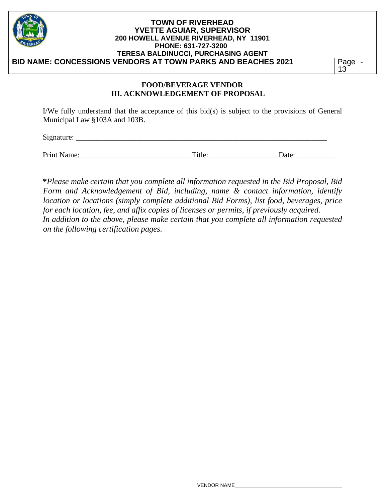| <b>TOWN OF RIVERHEAD</b><br><b>YVETTE AGUIAR, SUPERVISOR</b><br>200 HOWELL AVENUE RIVERHEAD, NY 11901<br>PHONE: 631-727-3200<br><b>TERESA BALDINUCCI, PURCHASING AGENT</b> |            |
|----------------------------------------------------------------------------------------------------------------------------------------------------------------------------|------------|
| BID NAME: CONCESSIONS VENDORS AT TOWN PARKS AND BEACHES 2021                                                                                                               | Page<br>13 |

#### **FOOD/BEVERAGE VENDOR III. ACKNOWLEDGEMENT OF PROPOSAL**

I/We fully understand that the acceptance of this bid(s) is subject to the provisions of General Municipal Law §103A and 103B.

 $Signature:$ 

Print Name:  $\Box$  Title:  $\Box$  Date:  $\Box$ 

**\****Please make certain that you complete all information requested in the Bid Proposal, Bid Form and Acknowledgement of Bid, including, name & contact information, identify location or locations (simply complete additional Bid Forms), list food, beverages, price for each location, fee, and affix copies of licenses or permits, if previously acquired. In addition to the above, please make certain that you complete all information requested on the following certification pages.*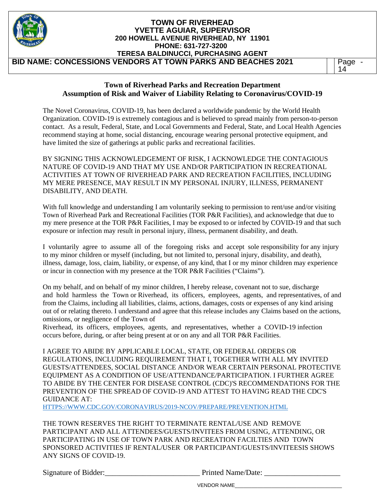| <b>TOWN OF RIVERHEAD</b><br><b>YVETTE AGUIAR, SUPERVISOR</b><br>200 HOWELL AVENUE RIVERHEAD, NY 11901<br>PHONE: 631-727-3200<br>TERESA BALDINUCCI, PURCHASING AGENT |    |  |
|---------------------------------------------------------------------------------------------------------------------------------------------------------------------|----|--|
| <b>BID NAME: CONCESSIONS VENDORS AT TOWN PARKS AND BEACHES 2021</b>                                                                                                 | 14 |  |

#### **Town of Riverhead Parks and Recreation Department Assumption of Risk and Waiver of Liability Relating to Coronavirus/COVID-19**

The Novel Coronavirus, COVID-19, has been declared a worldwide pandemic by the World Health Organization. COVID-19 is extremely contagious and is believed to spread mainly from person-to-person contact. As a result, Federal, State, and Local Governments and Federal, State, and Local Health Agencies recommend staying at home, social distancing, encourage wearing personal protective equipment, and have limited the size of gatherings at public parks and recreational facilities.

BY SIGNING THIS ACKNOWLEDGEMENT OF RISK, I ACKNOWLEDGE THE CONTAGIOUS NATURE OF COVID-19 AND THAT MY USE AND/OR PARTICIPATION IN RECREATIONAL ACTIVITIES AT TOWN OF RIVERHEAD PARK AND RECREATION FACILITIES, INCLUDING MY MERE PRESENCE, MAY RESULT IN MY PERSONAL INJURY, ILLNESS, PERMANENT DISABILITY, AND DEATH.

With full knowledge and understanding I am voluntarily seeking to permission to rent/use and/or visiting Town of Riverhead Park and Recreational Facilities (TOR P&R Facilities), and acknowledge that due to my mere presence at the TOR P&R Facilities, I may be exposed to or infected by COVID-19 and that such exposure or infection may result in personal injury, illness, permanent disability, and death.

I voluntarily agree to assume all of the foregoing risks and accept sole responsibility for any injury to my minor children or myself (including, but not limited to, personal injury, disability, and death), illness, damage, loss, claim, liability, or expense, of any kind, that I or my minor children may experience or incur in connection with my presence at the TOR P&R Facilities ("Claims").

On my behalf, and on behalf of my minor children, I hereby release, covenant not to sue, discharge and hold harmless the Town or Riverhead, its officers, employees, agents, and representatives, of and from the Claims, including all liabilities, claims, actions, damages, costs or expenses of any kind arising out of or relating thereto. I understand and agree that this release includes any Claims based on the actions, omissions, or negligence of the Town of

Riverhead, its officers, employees, agents, and representatives, whether a COVID-19 infection occurs before, during, or after being present at or on any and all TOR P&R Facilities.

I AGREE TO ABIDE BY APPLICABLE LOCAL, STATE, OR FEDERAL ORDERS OR REGULATIONS, INCLUDING REQUIREMENT THAT I, TOGETHER WITH ALL MY INVITED GUESTS/ATTENDEES, SOCIAL DISTANCE AND/OR WEAR CERTAIN PERSONAL PROTECTIVE EQUIPMENT AS A CONDITION OF USE/ATTENDANCE/PARTICIPATION. I FURTHER AGREE TO ABIDE BY THE CENTER FOR DISEASE CONTROL (CDC)'S RECOMMENDATIONS FOR THE PREVENTION OF THE SPREAD OF COVID-19 AND ATTEST TO HAVING READ THE CDC'S GUIDANCE AT:

HTTPS://WWW.CDC.GOV/CORONAVIRUS/2019-NCOV/PREPARE/PREVENTION.HTML

THE TOWN RESERVES THE RIGHT TO TERMINATE RENTAL/USE AND REMOVE PARTICIPANT AND ALL ATTENDEES/GUESTS/INVITEES FROM USING, ATTENDING, OR PARTICIPATING IN USE OF TOWN PARK AND RECREATION FACILTIES AND TOWN SPONSORED ACTIVITIES IF RENTAL/USER OR PARTICIPANT/GUESTS/INVITEESIS SHOWS ANY SIGNS OF COVID-19.

Signature of Bidder: The Printed Name/Date:

VENDOR NAME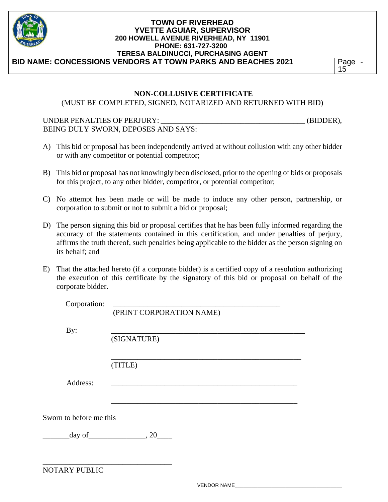

15

### **NON-COLLUSIVE CERTIFICATE**

(MUST BE COMPLETED, SIGNED, NOTARIZED AND RETURNED WITH BID)

# UNDER PENALTIES OF PERJURY: \_\_\_\_\_\_\_\_\_\_\_\_\_\_\_\_\_\_\_\_\_\_\_\_\_\_\_\_\_\_\_\_\_\_\_\_\_\_ (BIDDER), BEING DULY SWORN, DEPOSES AND SAYS:

- A) This bid or proposal has been independently arrived at without collusion with any other bidder or with any competitor or potential competitor;
- B) This bid or proposal has not knowingly been disclosed, prior to the opening of bids or proposals for this project, to any other bidder, competitor, or potential competitor;
- C) No attempt has been made or will be made to induce any other person, partnership, or corporation to submit or not to submit a bid or proposal;
- D) The person signing this bid or proposal certifies that he has been fully informed regarding the accuracy of the statements contained in this certification, and under penalties of perjury, affirms the truth thereof, such penalties being applicable to the bidder as the person signing on its behalf; and
- E) That the attached hereto (if a corporate bidder) is a certified copy of a resolution authorizing the execution of this certificate by the signatory of this bid or proposal on behalf of the corporate bidder.

| Corporation:            |                                            |
|-------------------------|--------------------------------------------|
|                         | (PRINT CORPORATION NAME)                   |
|                         |                                            |
| By:                     |                                            |
|                         | (SIGNATURE)                                |
|                         |                                            |
|                         | (TITLE)                                    |
|                         |                                            |
| Address:                |                                            |
|                         |                                            |
|                         |                                            |
|                         |                                            |
| Sworn to before me this |                                            |
|                         | $\frac{\text{day of}}{\text{day of}}$ , 20 |
|                         |                                            |
|                         |                                            |
|                         |                                            |
| NOTARY PUBLIC           |                                            |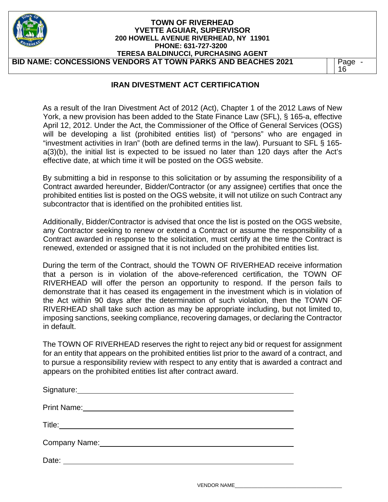| <b>TOWN OF RIVERHEAD</b><br><b>YVETTE AGUIAR, SUPERVISOR</b><br>200 HOWELL AVENUE RIVERHEAD, NY 11901<br>PHONE: 631-727-3200<br><b>TERESA BALDINUCCI, PURCHASING AGENT</b> |            |
|----------------------------------------------------------------------------------------------------------------------------------------------------------------------------|------------|
| BID NAME: CONCESSIONS VENDORS AT TOWN PARKS AND BEACHES 2021                                                                                                               | Page<br>16 |

# **IRAN DIVESTMENT ACT CERTIFICATION**

As a result of the Iran Divestment Act of 2012 (Act), Chapter 1 of the 2012 Laws of New York, a new provision has been added to the State Finance Law (SFL), § 165-a, effective April 12, 2012. Under the Act, the Commissioner of the Office of General Services (OGS) will be developing a list (prohibited entities list) of "persons" who are engaged in "investment activities in Iran" (both are defined terms in the law). Pursuant to SFL § 165 a(3)(b), the initial list is expected to be issued no later than 120 days after the Act's effective date, at which time it will be posted on the OGS website.

By submitting a bid in response to this solicitation or by assuming the responsibility of a Contract awarded hereunder, Bidder/Contractor (or any assignee) certifies that once the prohibited entities list is posted on the OGS website, it will not utilize on such Contract any subcontractor that is identified on the prohibited entities list.

Additionally, Bidder/Contractor is advised that once the list is posted on the OGS website, any Contractor seeking to renew or extend a Contract or assume the responsibility of a Contract awarded in response to the solicitation, must certify at the time the Contract is renewed, extended or assigned that it is not included on the prohibited entities list.

During the term of the Contract, should the TOWN OF RIVERHEAD receive information that a person is in violation of the above-referenced certification, the TOWN OF RIVERHEAD will offer the person an opportunity to respond. If the person fails to demonstrate that it has ceased its engagement in the investment which is in violation of the Act within 90 days after the determination of such violation, then the TOWN OF RIVERHEAD shall take such action as may be appropriate including, but not limited to, imposing sanctions, seeking compliance, recovering damages, or declaring the Contractor in default.

The TOWN OF RIVERHEAD reserves the right to reject any bid or request for assignment for an entity that appears on the prohibited entities list prior to the award of a contract, and to pursue a responsibility review with respect to any entity that is awarded a contract and appears on the prohibited entities list after contract award.

| Signature: Management of the Signature: |
|-----------------------------------------|
| <b>Print Name:</b> Print Name:          |
|                                         |
| Company Name:                           |
| Date:                                   |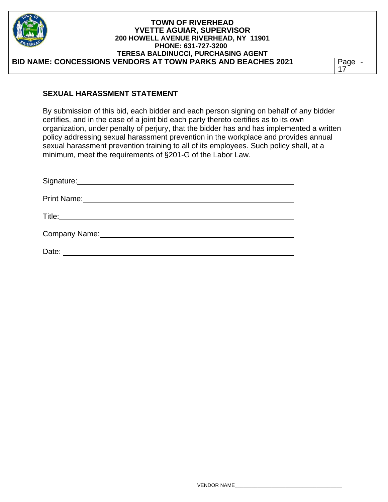| <b>TOWN OF RIVERHEAD</b><br><b>YVETTE AGUIAR, SUPERVISOR</b><br>200 HOWELL AVENUE RIVERHEAD, NY 11901<br>PHONE: 631-727-3200<br><b>TERESA BALDINUCCI, PURCHASING AGENT</b> |      |
|----------------------------------------------------------------------------------------------------------------------------------------------------------------------------|------|
| BID NAME: CONCESSIONS VENDORS AT TOWN PARKS AND BEACHES 2021                                                                                                               | Page |

### **SEXUAL HARASSMENT STATEMENT**

By submission of this bid, each bidder and each person signing on behalf of any bidder certifies, and in the case of a joint bid each party thereto certifies as to its own organization, under penalty of perjury, that the bidder has and has implemented a written policy addressing sexual harassment prevention in the workplace and provides annual sexual harassment prevention training to all of its employees. Such policy shall, at a minimum, meet the requirements of §201-G of the Labor Law.

| Signature:              |
|-------------------------|
| <b>Print Name:</b>      |
| Title:_________________ |
| Company Name:           |
| Date:                   |